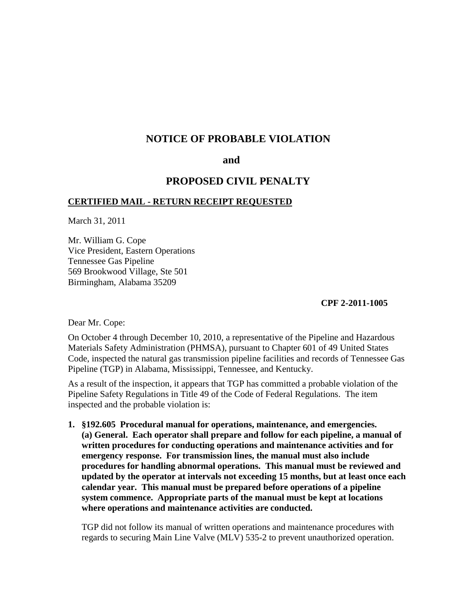# **NOTICE OF PROBABLE VIOLATION**

### **and**

## **PROPOSED CIVIL PENALTY**

## **CERTIFIED MAIL - RETURN RECEIPT REQUESTED**

March 31, 2011

Mr. William G. Cope Vice President, Eastern Operations Tennessee Gas Pipeline 569 Brookwood Village, Ste 501 Birmingham, Alabama 35209

**CPF 2-2011-1005**

Dear Mr. Cope:

On October 4 through December 10, 2010, a representative of the Pipeline and Hazardous Materials Safety Administration (PHMSA), pursuant to Chapter 601 of 49 United States Code, inspected the natural gas transmission pipeline facilities and records of Tennessee Gas Pipeline (TGP) in Alabama, Mississippi, Tennessee, and Kentucky.

As a result of the inspection, it appears that TGP has committed a probable violation of the Pipeline Safety Regulations in Title 49 of the Code of Federal Regulations. The item inspected and the probable violation is:

**1. §192.605 Procedural manual for operations, maintenance, and emergencies. (a) General. Each operator shall prepare and follow for each pipeline, a manual of written procedures for conducting operations and maintenance activities and for emergency response. For transmission lines, the manual must also include procedures for handling abnormal operations. This manual must be reviewed and updated by the operator at intervals not exceeding 15 months, but at least once each calendar year. This manual must be prepared before operations of a pipeline system commence. Appropriate parts of the manual must be kept at locations where operations and maintenance activities are conducted.**

TGP did not follow its manual of written operations and maintenance procedures with regards to securing Main Line Valve (MLV) 535-2 to prevent unauthorized operation.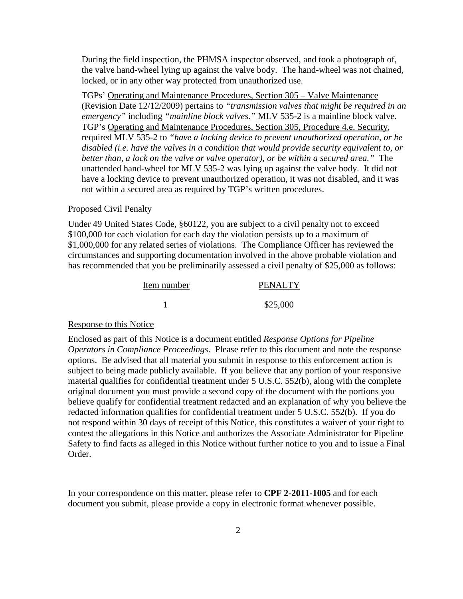During the field inspection, the PHMSA inspector observed, and took a photograph of, the valve hand-wheel lying up against the valve body. The hand-wheel was not chained, locked, or in any other way protected from unauthorized use.

TGPs' Operating and Maintenance Procedures, Section 305 – Valve Maintenance (Revision Date 12/12/2009) pertains to *"transmission valves that might be required in an emergency"* including *"mainline block valves."* MLV 535-2 is a mainline block valve. TGP's Operating and Maintenance Procedures, Section 305, Procedure 4.e. Security, required MLV 535-2 to *"have a locking device to prevent unauthorized operation, or be disabled (i.e. have the valves in a condition that would provide security equivalent to, or better than, a lock on the valve or valve operator), or be within a secured area."* The unattended hand-wheel for MLV 535-2 was lying up against the valve body. It did not have a locking device to prevent unauthorized operation, it was not disabled, and it was not within a secured area as required by TGP's written procedures.

#### Proposed Civil Penalty

Under 49 United States Code, §60122, you are subject to a civil penalty not to exceed \$100,000 for each violation for each day the violation persists up to a maximum of \$1,000,000 for any related series of violations. The Compliance Officer has reviewed the circumstances and supporting documentation involved in the above probable violation and has recommended that you be preliminarily assessed a civil penalty of \$25,000 as follows:

| Item number | <b>PENALTY</b> |
|-------------|----------------|
|             | \$25,000       |

#### Response to this Notice

Enclosed as part of this Notice is a document entitled *Response Options for Pipeline Operators in Compliance Proceedings*. Please refer to this document and note the response options. Be advised that all material you submit in response to this enforcement action is subject to being made publicly available. If you believe that any portion of your responsive material qualifies for confidential treatment under 5 U.S.C. 552(b), along with the complete original document you must provide a second copy of the document with the portions you believe qualify for confidential treatment redacted and an explanation of why you believe the redacted information qualifies for confidential treatment under 5 U.S.C. 552(b). If you do not respond within 30 days of receipt of this Notice, this constitutes a waiver of your right to contest the allegations in this Notice and authorizes the Associate Administrator for Pipeline Safety to find facts as alleged in this Notice without further notice to you and to issue a Final Order.

In your correspondence on this matter, please refer to **CPF 2-2011-1005** and for each document you submit, please provide a copy in electronic format whenever possible.